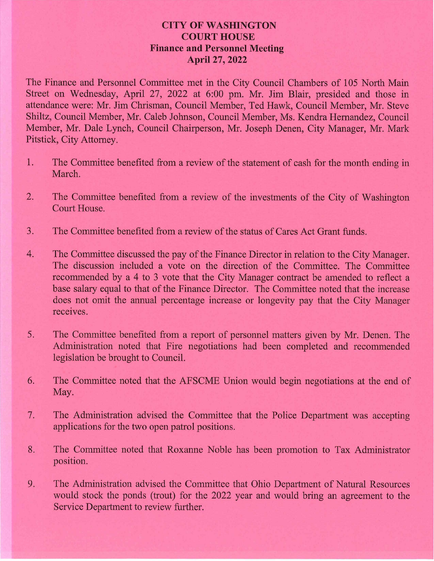## **CITY OF WASHINGTON** Y OF WASHING<br>COURT HOUSE **COURT HOUSE**<br>Finance and Personnel Meeting April 27, 2022

The Finance and Personnel Committee met in the City Council Chambers of 105 North Main Street on Wednesday, April 27, 2022 at 6:00 pm. Mr. Jim Blair, presided and those in attendance were: Mr. Jim Chrisman, Council Member, Ted Hawk, Council Member, Mr. Steve Shiltz, Council Member, Mr. Caleb Johnson, Council Member, Ms. Kendra Hernandez, Council Member, Mr. Dale Lynch, Council Chairperson, Mr. Joseph Denen, City Manager, Mr. Mark Pitstick, City Attorney.

- 1. The Committee benefited from a review of the statement of cash for the month ending in March.
- 2. The Committee benefited from a review of the investments of the City of Washington Court House.
- 3. The Committee benefited from a review of the status of Cares Act Grant funds.
- 4. The Committee discussed the pay of the Finance Director in relation to the City Manager. The discussion included a vote on the direction of the Committee. The Committee recommended by a 4 to 3 vote that the City Manager contract be amended to reflect a base salary equal to that of the Finance Director. The Committee noted that the increase does not omit the annual percentage increase or longevity pay that the City Manager receives.
- 5. The Committee benefited from a report of personnel matters given by Mr. Denen. The Administration noted that Fire negotiations had been completed and recommended legislation be brought to Council.
- 6. The Committee noted that the AFSCME Union would begin negotiations at the end of May.
- 7. The Administration advised the Committee that the Police Department was accepting applications for the two open patrol positions.
- 8. The Committee noted that Roxanne Noble has been promotion to Tax Administrator position.
- 9. The Administration advised the Committee that Ohio Department of Natural Resources would stock the ponds (trout) for the 2022 year and would bring an agreement to the Service Department to review further.